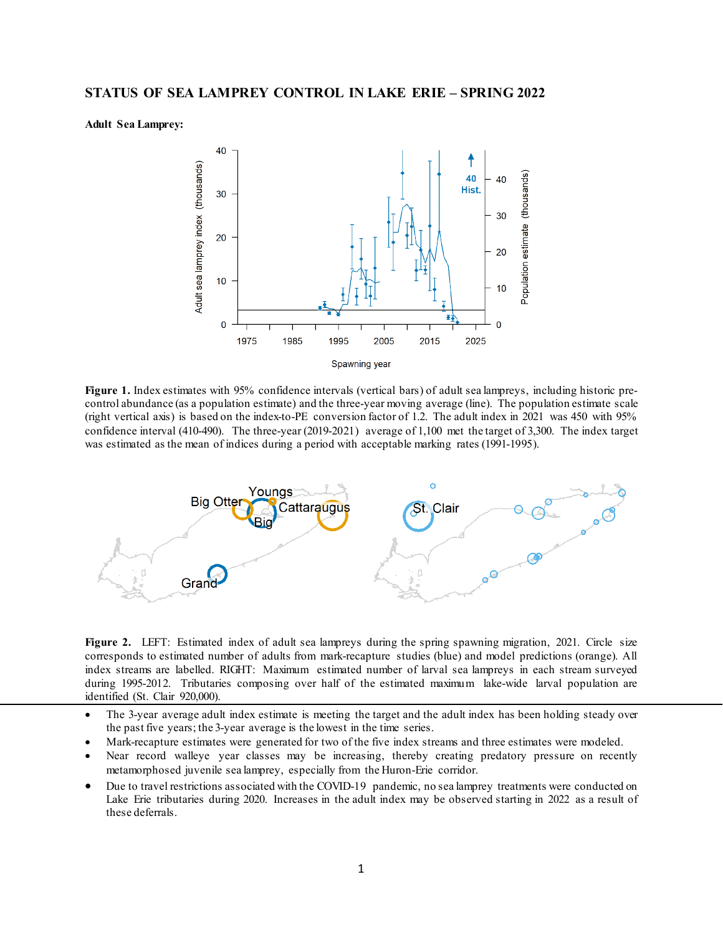## **Adult Sea Lamprey:**



**Figure 1.** Index estimates with 95% confidence intervals (vertical bars) of adult sea lampreys, including historic precontrol abundance (as a population estimate) and the three-year moving average (line). The population estimate scale (right vertical axis) is based on the index-to-PE conversion factor of 1.2. The adult index in 2021 was 450 with 95% confidence interval (410-490). The three-year (2019-2021) average of 1,100 met the target of 3,300. The index target was estimated as the mean of indices during a period with acceptable marking rates (1991-1995).



Figure 2. LEFT: Estimated index of adult sea lampreys during the spring spawning migration, 2021. Circle size corresponds to estimated number of adults from mark-recapture studies (blue) and model predictions (orange). All index streams are labelled. RIGHT: Maximum estimated number of larval sea lampreys in each stream surveyed during 1995-2012. Tributaries composing over half of the estimated maximum lake-wide larval population are identified (St. Clair 920,000).

- The 3-year average adult index estimate is meeting the target and the adult index has been holding steady over the past five years; the 3-year average is the lowest in the time series.
- Mark-recapture estimates were generated for two of the five index streams and three estimates were modeled.
- Near record walleye year classes may be increasing, thereby creating predatory pressure on recently metamorphosed juvenile sea lamprey, especially from the Huron-Erie corridor.
- Due to travel restrictions associated with the COVID-19 pandemic, no sea lamprey treatments were conducted on Lake Erie tributaries during 2020. Increases in the adult index may be observed starting in 2022 as a result of these deferrals.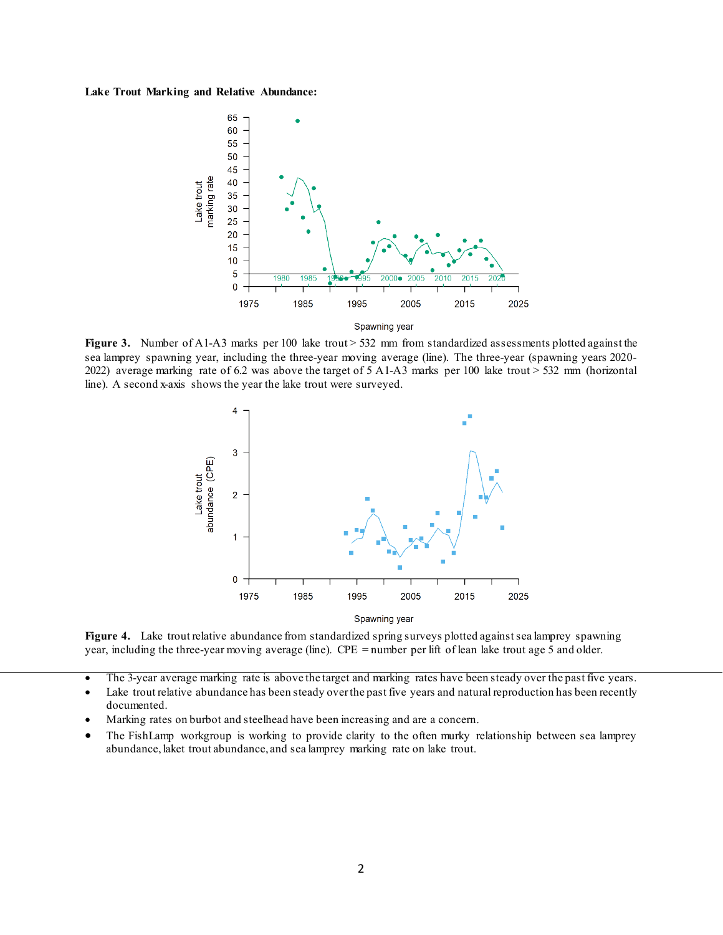## **Lake Trout Marking and Relative Abundance:**



**Figure 3.** Number of A1-A3 marks per 100 lake trout > 532 mm from standardized assessments plotted against the sea lamprey spawning year, including the three-year moving average (line). The three-year (spawning years 2020- 2022) average marking rate of 6.2 was above the target of 5 A1-A3 marks per 100 lake trout > 532 mm (horizontal line). A second x-axis shows the year the lake trout were surveyed.



Figure 4. Lake trout relative abundance from standardized spring surveys plotted against sea lamprey spawning year, including the three-year moving average (line). CPE = number per lift of lean lake trout age 5 and older.

- The 3-year average marking rate is above the target and marking rates have been steady over the past five years.
- Lake trout relative abundance has been steady over the past five years and natural reproduction has been recently documented.
- Marking rates on burbot and steelhead have been increasing and are a concern.
- The FishLamp workgroup is working to provide clarity to the often murky relationship between sea lamprey abundance, laket trout abundance, and sea lamprey marking rate on lake trout.